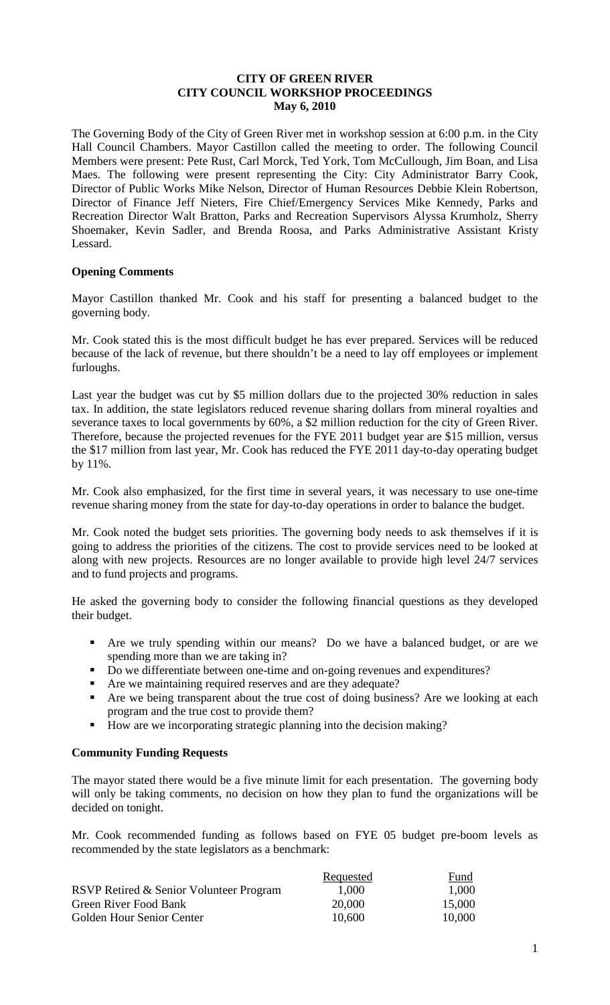# **CITY OF GREEN RIVER CITY COUNCIL WORKSHOP PROCEEDINGS May 6, 2010**

The Governing Body of the City of Green River met in workshop session at 6:00 p.m. in the City Hall Council Chambers. Mayor Castillon called the meeting to order. The following Council Members were present: Pete Rust, Carl Morck, Ted York, Tom McCullough, Jim Boan, and Lisa Maes. The following were present representing the City: City Administrator Barry Cook, Director of Public Works Mike Nelson, Director of Human Resources Debbie Klein Robertson, Director of Finance Jeff Nieters, Fire Chief/Emergency Services Mike Kennedy, Parks and Recreation Director Walt Bratton, Parks and Recreation Supervisors Alyssa Krumholz, Sherry Shoemaker, Kevin Sadler, and Brenda Roosa, and Parks Administrative Assistant Kristy Lessard.

# **Opening Comments**

Mayor Castillon thanked Mr. Cook and his staff for presenting a balanced budget to the governing body.

Mr. Cook stated this is the most difficult budget he has ever prepared. Services will be reduced because of the lack of revenue, but there shouldn't be a need to lay off employees or implement furloughs.

Last year the budget was cut by \$5 million dollars due to the projected 30% reduction in sales tax. In addition, the state legislators reduced revenue sharing dollars from mineral royalties and severance taxes to local governments by 60%, a \$2 million reduction for the city of Green River. Therefore, because the projected revenues for the FYE 2011 budget year are \$15 million, versus the \$17 million from last year, Mr. Cook has reduced the FYE 2011 day-to-day operating budget by 11%.

Mr. Cook also emphasized, for the first time in several years, it was necessary to use one-time revenue sharing money from the state for day-to-day operations in order to balance the budget.

Mr. Cook noted the budget sets priorities. The governing body needs to ask themselves if it is going to address the priorities of the citizens. The cost to provide services need to be looked at along with new projects. Resources are no longer available to provide high level 24/7 services and to fund projects and programs.

He asked the governing body to consider the following financial questions as they developed their budget.

- Are we truly spending within our means? Do we have a balanced budget, or are we spending more than we are taking in?
- Do we differentiate between one-time and on-going revenues and expenditures?
- Are we maintaining required reserves and are they adequate?
- Are we being transparent about the true cost of doing business? Are we looking at each program and the true cost to provide them?
- How are we incorporating strategic planning into the decision making?

# **Community Funding Requests**

The mayor stated there would be a five minute limit for each presentation. The governing body will only be taking comments, no decision on how they plan to fund the organizations will be decided on tonight.

Mr. Cook recommended funding as follows based on FYE 05 budget pre-boom levels as recommended by the state legislators as a benchmark:

|                                         | Requested | Fund   |
|-----------------------------------------|-----------|--------|
| RSVP Retired & Senior Volunteer Program | 1,000     | 1,000  |
| Green River Food Bank                   | 20,000    | 15,000 |
| Golden Hour Senior Center               | 10.600    | 10,000 |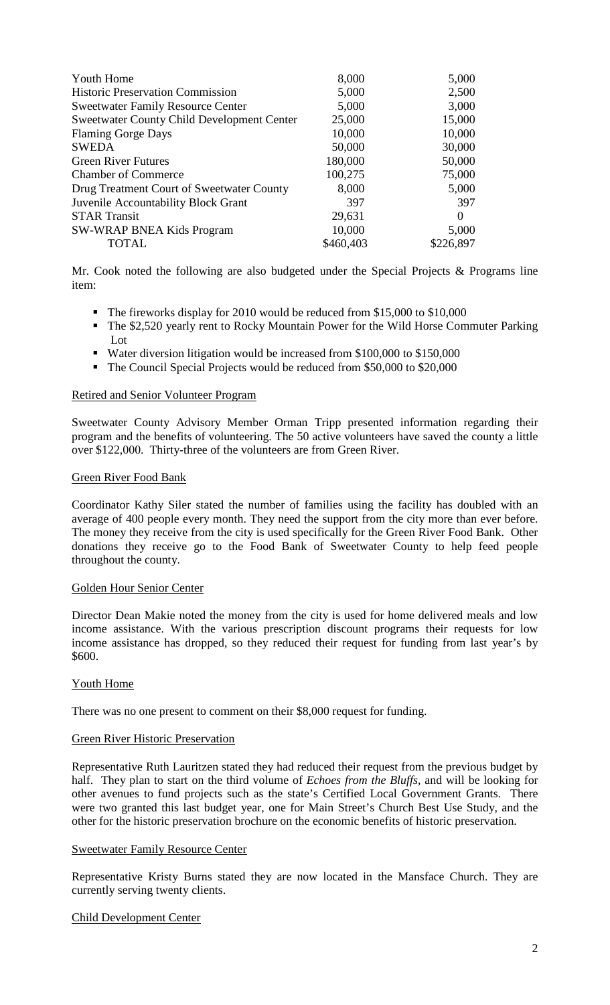| <b>Youth Home</b>                                 | 8,000     | 5,000     |
|---------------------------------------------------|-----------|-----------|
| <b>Historic Preservation Commission</b>           | 5,000     | 2,500     |
| <b>Sweetwater Family Resource Center</b>          | 5,000     | 3,000     |
| <b>Sweetwater County Child Development Center</b> | 25,000    | 15,000    |
| <b>Flaming Gorge Days</b>                         | 10,000    | 10,000    |
| <b>SWEDA</b>                                      | 50,000    | 30,000    |
| <b>Green River Futures</b>                        | 180,000   | 50,000    |
| <b>Chamber of Commerce</b>                        | 100,275   | 75,000    |
| Drug Treatment Court of Sweetwater County         | 8,000     | 5,000     |
| Juvenile Accountability Block Grant               | 397       | 397       |
| <b>STAR Transit</b>                               | 29,631    | $\Omega$  |
| <b>SW-WRAP BNEA Kids Program</b>                  | 10,000    | 5,000     |
| <b>TOTAL</b>                                      | \$460,403 | \$226,897 |

Mr. Cook noted the following are also budgeted under the Special Projects & Programs line item:

- The fireworks display for 2010 would be reduced from \$15,000 to \$10,000
- The \$2,520 yearly rent to Rocky Mountain Power for the Wild Horse Commuter Parking Lot
- Water diversion litigation would be increased from \$100,000 to \$150,000
- The Council Special Projects would be reduced from \$50,000 to \$20,000

### Retired and Senior Volunteer Program

Sweetwater County Advisory Member Orman Tripp presented information regarding their program and the benefits of volunteering. The 50 active volunteers have saved the county a little over \$122,000. Thirty-three of the volunteers are from Green River.

### Green River Food Bank

Coordinator Kathy Siler stated the number of families using the facility has doubled with an average of 400 people every month. They need the support from the city more than ever before. The money they receive from the city is used specifically for the Green River Food Bank. Other donations they receive go to the Food Bank of Sweetwater County to help feed people throughout the county.

### Golden Hour Senior Center

Director Dean Makie noted the money from the city is used for home delivered meals and low income assistance. With the various prescription discount programs their requests for low income assistance has dropped, so they reduced their request for funding from last year's by \$600.

# Youth Home

There was no one present to comment on their \$8,000 request for funding.

### Green River Historic Preservation

Representative Ruth Lauritzen stated they had reduced their request from the previous budget by half. They plan to start on the third volume of *Echoes from the Bluffs,* and will be looking for other avenues to fund projects such as the state's Certified Local Government Grants. There were two granted this last budget year, one for Main Street's Church Best Use Study, and the other for the historic preservation brochure on the economic benefits of historic preservation.

### Sweetwater Family Resource Center

Representative Kristy Burns stated they are now located in the Mansface Church. They are currently serving twenty clients.

# Child Development Center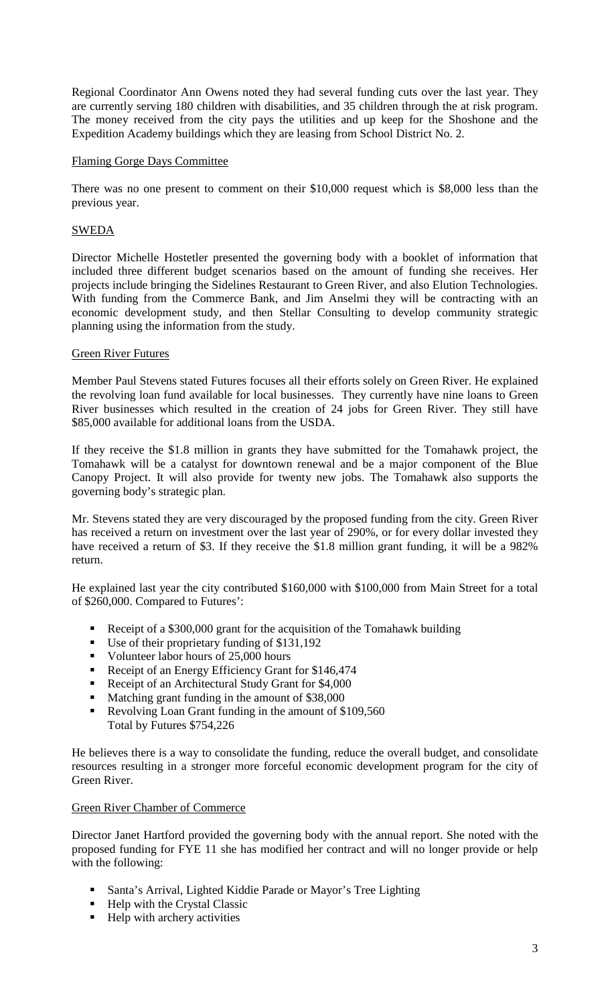Regional Coordinator Ann Owens noted they had several funding cuts over the last year. They are currently serving 180 children with disabilities, and 35 children through the at risk program. The money received from the city pays the utilities and up keep for the Shoshone and the Expedition Academy buildings which they are leasing from School District No. 2.

# Flaming Gorge Days Committee

There was no one present to comment on their \$10,000 request which is \$8,000 less than the previous year.

# SWEDA

Director Michelle Hostetler presented the governing body with a booklet of information that included three different budget scenarios based on the amount of funding she receives. Her projects include bringing the Sidelines Restaurant to Green River, and also Elution Technologies. With funding from the Commerce Bank, and Jim Anselmi they will be contracting with an economic development study, and then Stellar Consulting to develop community strategic planning using the information from the study.

# Green River Futures

Member Paul Stevens stated Futures focuses all their efforts solely on Green River. He explained the revolving loan fund available for local businesses. They currently have nine loans to Green River businesses which resulted in the creation of 24 jobs for Green River. They still have \$85,000 available for additional loans from the USDA.

If they receive the \$1.8 million in grants they have submitted for the Tomahawk project, the Tomahawk will be a catalyst for downtown renewal and be a major component of the Blue Canopy Project. It will also provide for twenty new jobs. The Tomahawk also supports the governing body's strategic plan.

Mr. Stevens stated they are very discouraged by the proposed funding from the city. Green River has received a return on investment over the last year of 290%, or for every dollar invested they have received a return of \$3. If they receive the \$1.8 million grant funding, it will be a 982% return.

He explained last year the city contributed \$160,000 with \$100,000 from Main Street for a total of \$260,000. Compared to Futures':

- Receipt of a \$300,000 grant for the acquisition of the Tomahawk building
- Use of their proprietary funding of \$131,192
- Volunteer labor hours of 25,000 hours
- Receipt of an Energy Efficiency Grant for \$146,474
- Receipt of an Architectural Study Grant for \$4,000
- Matching grant funding in the amount of \$38,000
- Revolving Loan Grant funding in the amount of \$109,560 Total by Futures \$754,226

He believes there is a way to consolidate the funding, reduce the overall budget, and consolidate resources resulting in a stronger more forceful economic development program for the city of Green River.

# Green River Chamber of Commerce

Director Janet Hartford provided the governing body with the annual report. She noted with the proposed funding for FYE 11 she has modified her contract and will no longer provide or help with the following:

- Santa's Arrival, Lighted Kiddie Parade or Mayor's Tree Lighting
- **Help with the Crystal Classic**
- $\blacksquare$  Help with archery activities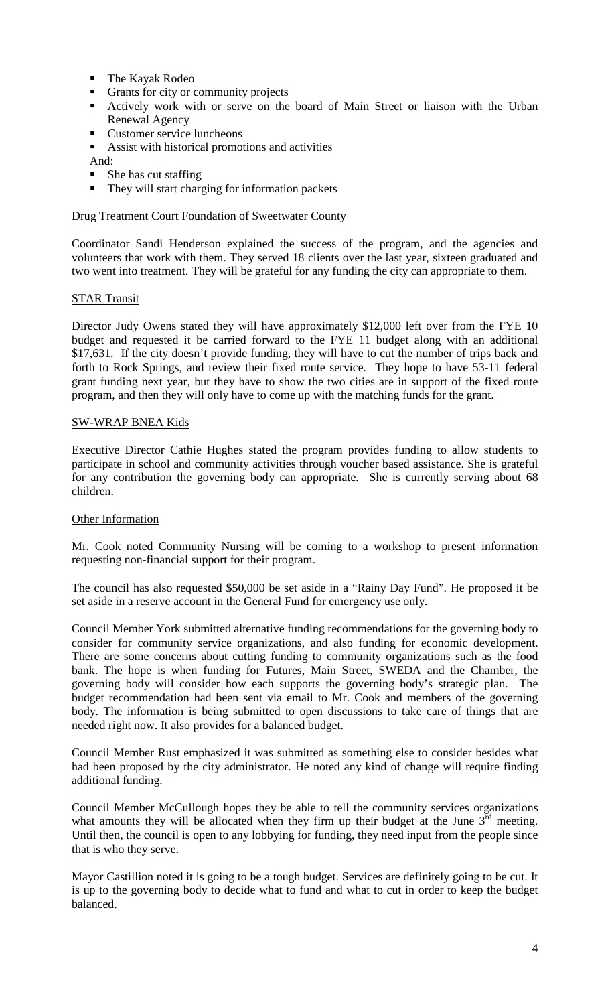- The Kayak Rodeo
- Grants for city or community projects
- Actively work with or serve on the board of Main Street or liaison with the Urban Renewal Agency
- **Customer service luncheons**
- Assist with historical promotions and activities

And:

- She has cut staffing
- They will start charging for information packets

### Drug Treatment Court Foundation of Sweetwater County

Coordinator Sandi Henderson explained the success of the program, and the agencies and volunteers that work with them. They served 18 clients over the last year, sixteen graduated and two went into treatment. They will be grateful for any funding the city can appropriate to them.

### STAR Transit

Director Judy Owens stated they will have approximately \$12,000 left over from the FYE 10 budget and requested it be carried forward to the FYE 11 budget along with an additional \$17,631. If the city doesn't provide funding, they will have to cut the number of trips back and forth to Rock Springs, and review their fixed route service. They hope to have 53-11 federal grant funding next year, but they have to show the two cities are in support of the fixed route program, and then they will only have to come up with the matching funds for the grant.

### SW-WRAP BNEA Kids

Executive Director Cathie Hughes stated the program provides funding to allow students to participate in school and community activities through voucher based assistance. She is grateful for any contribution the governing body can appropriate. She is currently serving about 68 children.

# Other Information

Mr. Cook noted Community Nursing will be coming to a workshop to present information requesting non-financial support for their program.

The council has also requested \$50,000 be set aside in a "Rainy Day Fund". He proposed it be set aside in a reserve account in the General Fund for emergency use only.

Council Member York submitted alternative funding recommendations for the governing body to consider for community service organizations, and also funding for economic development. There are some concerns about cutting funding to community organizations such as the food bank. The hope is when funding for Futures, Main Street, SWEDA and the Chamber, the governing body will consider how each supports the governing body's strategic plan. The budget recommendation had been sent via email to Mr. Cook and members of the governing body. The information is being submitted to open discussions to take care of things that are needed right now. It also provides for a balanced budget.

Council Member Rust emphasized it was submitted as something else to consider besides what had been proposed by the city administrator. He noted any kind of change will require finding additional funding.

Council Member McCullough hopes they be able to tell the community services organizations what amounts they will be allocated when they firm up their budget at the June  $3<sup>rd</sup>$  meeting. Until then, the council is open to any lobbying for funding, they need input from the people since that is who they serve.

Mayor Castillion noted it is going to be a tough budget. Services are definitely going to be cut. It is up to the governing body to decide what to fund and what to cut in order to keep the budget balanced.